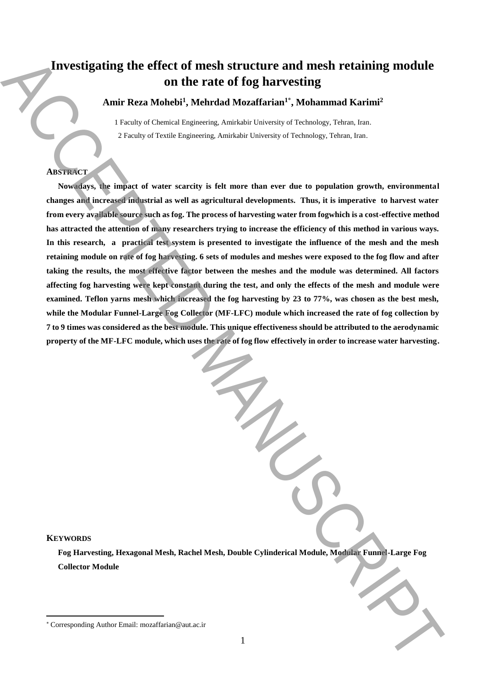# **Investigating the effect of mesh structure and mesh retaining module on the rate of fog harvesting**

**Amir Reza Mohebi<sup>1</sup> , Mehrdad Mozaffarian<sup>1</sup>**\* **, Mohammad Karimi<sup>2</sup>**

1 Faculty of Chemical Engineering, Amirkabir University of Technology, Tehran, Iran. 2 Faculty of Textile Engineering, Amirkabir University of Technology, Tehran, Iran.

# **ABSTRACT**

**Nowadays, the impact of water scarcity is felt more than ever due to population growth, environmental changes and increased industrial as well as agricultural developments. Thus, it is imperative to harvest water from every available source such as fog. The process of harvesting water from fogwhich is a cost-effective method has attracted the attention of many researchers trying to increase the efficiency of this method in various ways.**  In this research, a practical test system is presented to investigate the influence of the mesh and the mesh **retaining module on rate of fog harvesting. 6 sets of modules and meshes were exposed to the fog flow and after taking the results, the most effective factor between the meshes and the module was determined. All factors affecting fog harvesting were kept constant during the test, and only the effects of the mesh and module were examined. Teflon yarns mesh which increased the fog harvesting by 23 to 77%, was chosen as the best mesh, while the Modular Funnel-Large Fog Collector (MF-LFC) module which increased the rate of fog collection by 7 to 9 times was considered as the best module. This unique effectiveness should be attributed to the aerodynamic property of the MF-LFC module, which uses the rate of fog flow effectively in order to increase water harvesting. Example 2** (a) the effect of mesh structure and mesh relatining module<br>Authroride and the rate of for that can be completed by a maximum correlation of the correlation of the correlation of the correlation of the correla

# **KEYWORDS**

 $\overline{a}$ 

**Fog Harvesting, Hexagonal Mesh, Rachel Mesh, Double Cylinderical Module, Modular Funnel-Large Fog Collector Module**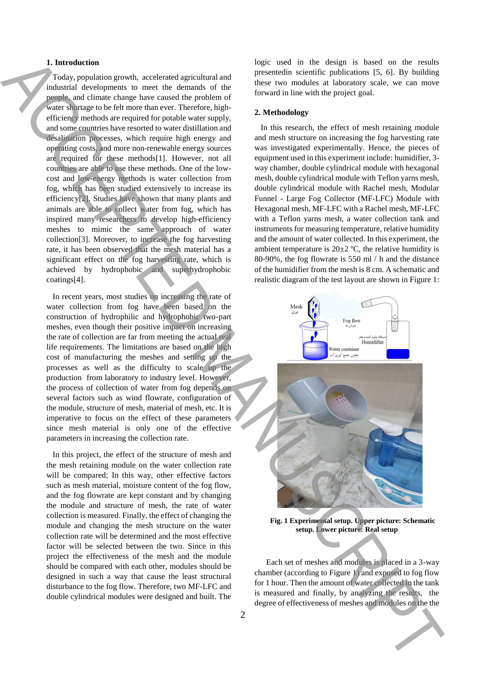#### **1. Introduction**

 Today, population growth, accelerated agricultural and industrial developments to meet the demands of the people, and climate change have caused the problem of water shortage to be felt more than ever. Therefore, highefficiency methods are required for potable water supply, and some countries have resorted to water distillation and desalination processes, which require high energy and operating costs, and more non-renewable energy sources are required for these methods[1]. However, not all countries are able to use these methods. One of the lowcost and low-energy methods is water collection from fog, which has been studied extensively to increase its efficiency[2]. Studies have shown that many plants and animals are able to collect water from fog, which has inspired many researchers to develop high-efficiency meshes to mimic the same approach of water collection[3]. Moreover, to increase the fog harvesting rate, it has been observed that the mesh material has a significant effect on the fog harvesting rate, which is achieved by hydrophobic and superhydrophobic coatings[4]. It interests of each model was a control of the the three interests of mesh and model was a control of the three of effectives of mesh and model with  $\alpha$  and the three of effective interests of mesh and model with  $\alpha$  a

 In recent years, most studies on increasing the rate of water collection from fog have been based on the construction of hydrophilic and hydrophobic two-part meshes, even though their positive impact on increasing the rate of collection are far from meeting the actual real life requirements. The limitations are based on the high cost of manufacturing the meshes and setting up the processes as well as the difficulty to scale up the production from laboratory to industry level. However, the process of collection of water from fog depends on several factors such as wind flowrate, configuration of the module, structure of mesh, material of mesh, etc. It is imperative to focus on the effect of these parameters since mesh material is only one of the effective parameters in increasing the collection rate.

 In this project, the effect of the structure of mesh and the mesh retaining module on the water collection rate will be compared; In this way, other effective factors such as mesh material, moisture content of the fog flow, and the fog flowrate are kept constant and by changing the module and structure of mesh, the rate of water collection is measured. Finally, the effect of changing the module and changing the mesh structure on the water collection rate will be determined and the most effective factor will be selected between the two. Since in this project the effectiveness of the mesh and the module should be compared with each other, modules should be designed in such a way that cause the least structural disturbance to the fog flow. Therefore, two MF-LFC and double cylindrical modules were designed and built. The

logic used in the design is based on the results presentedin scientific publications [5, 6]. By building these two modules at laboratory scale, we can move forward in line with the project goal.

#### **2. Methodology**

 In this research, the effect of mesh retaining module and mesh structure on increasing the fog harvesting rate was investigated experimentally. Hence, the pieces of equipment used in this experiment include: humidifier, 3 way chamber, double cylindrical module with hexagonal mesh, double cylindrical module with Teflon yarns mesh, double cylindrical module with Rachel mesh, Modular Funnel - Large Fog Collector (MF-LFC) Module with Hexagonal mesh, MF-LFC with a Rachel mesh, MF-LFC with a Teflon yarns mesh, a water collection tank and instruments for measuring temperature, relative humidity and the amount of water collected. In this experiment, the ambient temperature is  $20\pm 2$  °C, the relative humidity is 80-90%, the fog flowrate is 550 ml / h and the distance of the humidifier from the mesh is 8 cm. A schematic and realistic diagram of the test layout are shown in Figure 1:





**Fig. 1 Experimental setup. Upper picture: Schematic setup. Lower picture: Real setup**

Each set of meshes and modules is placed in a 3-way chamber (according to Figure 1) and exposed to fog flow for 1 hour. Then the amount of water collected in the tank is measured and finally, by analyzing the results, the